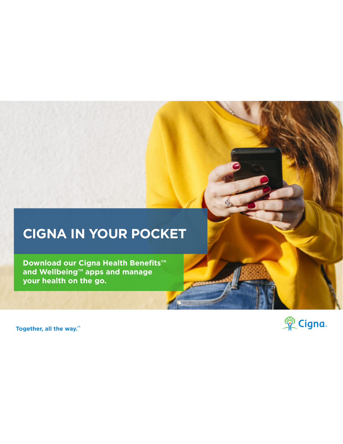## **CIGNA IN YOUR POCKET**

**Download our Cigna Health Benefits™ and Wellbeing™ apps and manage your health on the go.**

Together, all the way.<sup>5M</sup>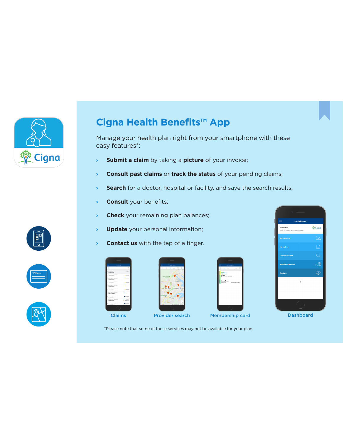

## **Cigna Health Benefits™ App**

Manage your health plan right from your smartphone with these easy features\*:

- **› Submit a claim** by taking a **picture** of your invoice;
- **› Consult past claims** or **track the status** of your pending claims;
- **>** Search for a doctor, hospital or facility, and save the search results;
- **› Consult** your benefits;
- **Check** your remaining plan balances;
- **› Update** your personal information;
- **› Contact us** with the tap of a finger.













\*Please note that some of these services may not be available for your plan.

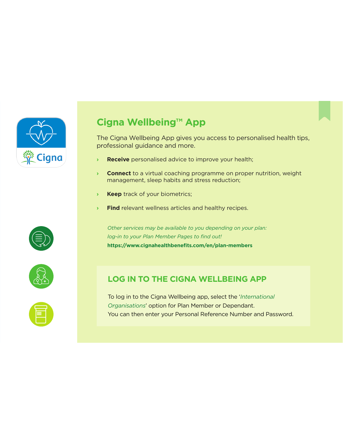



The Cigna Wellbeing App gives you access to personalised health tips, professional guidance and more.

- **› Receive** personalised advice to improve your health;
- **› Connect** to a virtual coaching programme on proper nutrition, weight management, sleep habits and stress reduction;
- **› Keep** track of your biometrics;
- **› Find** relevant wellness articles and healthy recipes.

*Other services may be available to you depending on your plan: log-in to your Plan Member Pages to find out!*  **https://www.cignahealthbenefits.com/en/plan-members**



## **LOG IN TO THE CIGNA WELLBEING APP**

To log in to the Cigna Wellbeing app, select the '*International Organisations*' option for Plan Member or Dependant. You can then enter your Personal Reference Number and Password.